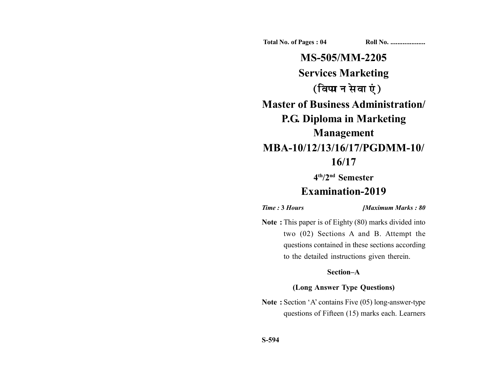**Total No. of Pages : 04 Roll No. ...................** 

**MS-505/MM-2205 Services Marketing** (विपणन सेवाएं) **Master of Business Administration/ P.G. Diploma in Marketing Management MBA-10/12/13/16/17/PGDMM-10/ 16/17**

**4th/2nd Semester**

# **Examination-2019**

*Time :* **3** *Hours [Maximum Marks : 80*

**Note :** This paper is of Eighty (80) marks divided into two (02) Sections A and B. Attempt the questions contained in these sections according to the detailed instructions given therein.

## **Section–A**

### **(Long Answer Type Questions)**

**Note :** Section 'A' contains Five (05) long-answer-type questions of Fifteen (15) marks each. Learners